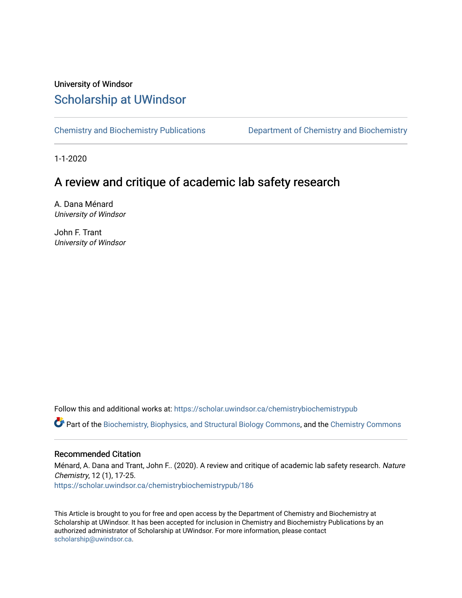# University of Windsor [Scholarship at UWindsor](https://scholar.uwindsor.ca/)

[Chemistry and Biochemistry Publications](https://scholar.uwindsor.ca/chemistrybiochemistrypub) [Department of Chemistry and Biochemistry](https://scholar.uwindsor.ca/chemistrybiochemistry) 

1-1-2020

# A review and critique of academic lab safety research

A. Dana Ménard University of Windsor

John F. Trant University of Windsor

Follow this and additional works at: [https://scholar.uwindsor.ca/chemistrybiochemistrypub](https://scholar.uwindsor.ca/chemistrybiochemistrypub?utm_source=scholar.uwindsor.ca%2Fchemistrybiochemistrypub%2F186&utm_medium=PDF&utm_campaign=PDFCoverPages)

Part of the [Biochemistry, Biophysics, and Structural Biology Commons](http://network.bepress.com/hgg/discipline/1?utm_source=scholar.uwindsor.ca%2Fchemistrybiochemistrypub%2F186&utm_medium=PDF&utm_campaign=PDFCoverPages), and the [Chemistry Commons](http://network.bepress.com/hgg/discipline/131?utm_source=scholar.uwindsor.ca%2Fchemistrybiochemistrypub%2F186&utm_medium=PDF&utm_campaign=PDFCoverPages) 

#### Recommended Citation

Ménard, A. Dana and Trant, John F.. (2020). A review and critique of academic lab safety research. Nature Chemistry, 12 (1), 17-25.

[https://scholar.uwindsor.ca/chemistrybiochemistrypub/186](https://scholar.uwindsor.ca/chemistrybiochemistrypub/186?utm_source=scholar.uwindsor.ca%2Fchemistrybiochemistrypub%2F186&utm_medium=PDF&utm_campaign=PDFCoverPages)

This Article is brought to you for free and open access by the Department of Chemistry and Biochemistry at Scholarship at UWindsor. It has been accepted for inclusion in Chemistry and Biochemistry Publications by an authorized administrator of Scholarship at UWindsor. For more information, please contact [scholarship@uwindsor.ca.](mailto:scholarship@uwindsor.ca)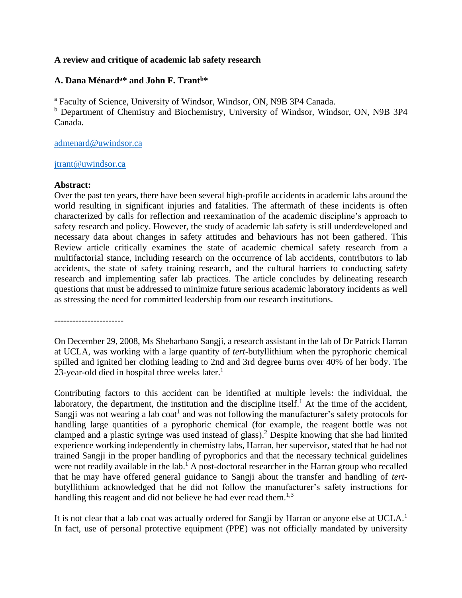#### **A review and critique of academic lab safety research**

## **A. Dana Ménard<sup>a</sup>\* and John F. Trant<sup>b</sup>\***

<sup>a</sup> Faculty of Science, University of Windsor, Windsor, ON, N9B 3P4 Canada.

<sup>b</sup> Department of Chemistry and Biochemistry, University of Windsor, Windsor, ON, N9B 3P4 Canada.

#### [admenard@uwindsor.ca](mailto:admenard@uwindsor.ca)

#### [jtrant@uwindsor.ca](mailto:jtrant@uwindsor.ca)

#### **Abstract:**

Over the past ten years, there have been several high-profile accidents in academic labs around the world resulting in significant injuries and fatalities. The aftermath of these incidents is often characterized by calls for reflection and reexamination of the academic discipline's approach to safety research and policy. However, the study of academic lab safety is still underdeveloped and necessary data about changes in safety attitudes and behaviours has not been gathered. This Review article critically examines the state of academic chemical safety research from a multifactorial stance, including research on the occurrence of lab accidents, contributors to lab accidents, the state of safety training research, and the cultural barriers to conducting safety research and implementing safer lab practices. The article concludes by delineating research questions that must be addressed to minimize future serious academic laboratory incidents as well as stressing the need for committed leadership from our research institutions.

-----------------------

On December 29, 2008, Ms Sheharbano Sangji, a research assistant in the lab of Dr Patrick Harran at UCLA, was working with a large quantity of *tert*-butyllithium when the pyrophoric chemical spilled and ignited her clothing leading to 2nd and 3rd degree burns over 40% of her body. The 23-year-old died in hospital three weeks later.<sup>[1](#page-14-0)</sup>

Contributing factors to this accident can be identified at multiple levels: the individual, the laboratory, the department, the institution and the discipline itself.<sup>[1](#page-14-0)</sup> At the time of the accident, Sangji was not wearing a lab coat<sup>[1](#page-14-0)</sup> and was not following the manufacturer's safety protocols for handling large quantities of a pyrophoric chemical (for example, the reagent bottle was not clamped and a plastic syringe was used instead of glass). [2](#page-14-1) Despite knowing that she had limited experience working independently in chemistry labs, Harran, her supervisor, stated that he had not trained Sangji in the proper handling of pyrophorics and that the necessary technical guidelines were not readily available in the lab.<sup>[1](#page-14-0)</sup> A post-doctoral researcher in the Harran group who recalled that he may have offered general guidance to Sangji about the transfer and handling of *tert*butyllithium acknowledged that he did not follow the manufacturer's safety instructions for handling this reagent and did not believe he had ever read them.<sup>[1](#page-14-0)[,3](#page-14-2)</sup>

It is not clear that a lab coat was actually ordered for Sangji by Harran or anyone else at UCLA.<sup>[1](#page-14-0)</sup> In fact, use of personal protective equipment (PPE) was not officially mandated by university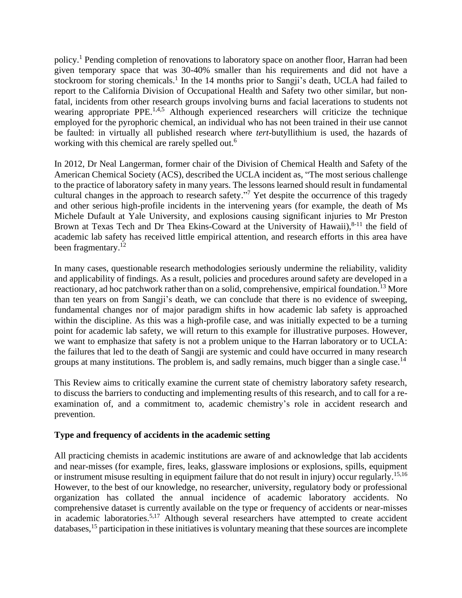policy.[1](#page-14-0) Pending completion of renovations to laboratory space on another floor, Harran had been given temporary space that was 30-40% smaller than his requirements and did not have a stockroom for storing chemicals.<sup>[1](#page-14-0)</sup> In the 14 months prior to Sangji's death, UCLA had failed to report to the California Division of Occupational Health and Safety two other similar, but nonfatal, incidents from other research groups involving burns and facial lacerations to students not wearing appropriate PPE.<sup>[1](#page-14-0)[,4](#page-14-3)[,5](#page-15-0)</sup> Although experienced researchers will criticize the technique employed for the pyrophoric chemical, an individual who has not been trained in their use cannot be faulted: in virtually all published research where *tert-*butyllithium is used, the hazards of working with this chemical are rarely spelled out.<sup>[6](#page-15-1)</sup>

In 2012, Dr Neal Langerman, former chair of the Division of Chemical Health and Safety of the American Chemical Society (ACS), described the UCLA incident as, "The most serious challenge to the practice of laboratory safety in many years. The lessons learned should result in fundamental cultural changes in the approach to research safety."<sup>[7](#page-15-2)</sup> Yet despite the occurrence of this tragedy and other serious high-profile incidents in the intervening years (for example, the death of Ms Michele Dufault at Yale University, and explosions causing significant injuries to Mr Preston Brown at Texas Tech and Dr Thea Ekins-Coward at the University of Hawaii),<sup>[8-11](#page-15-3)</sup> the field of academic lab safety has received little empirical attention, and research efforts in this area have been fragmentary.<sup>[12](#page-15-4)</sup>

In many cases, questionable research methodologies seriously undermine the reliability, validity and applicability of findings. As a result, policies and procedures around safety are developed in a reactionary, ad hoc patchwork rather than on a solid, comprehensive, empirical foundation.<sup>[13](#page-15-5)</sup> More than ten years on from Sangji's death, we can conclude that there is no evidence of sweeping, fundamental changes nor of major paradigm shifts in how academic lab safety is approached within the discipline. As this was a high-profile case, and was initially expected to be a turning point for academic lab safety, we will return to this example for illustrative purposes. However, we want to emphasize that safety is not a problem unique to the Harran laboratory or to UCLA: the failures that led to the death of Sangji are systemic and could have occurred in many research groups at many institutions. The problem is, and sadly remains, much bigger than a single case.<sup>[14](#page-15-6)</sup>

This Review aims to critically examine the current state of chemistry laboratory safety research, to discuss the barriers to conducting and implementing results of this research, and to call for a reexamination of, and a commitment to, academic chemistry's role in accident research and prevention.

## **Type and frequency of accidents in the academic setting**

All practicing chemists in academic institutions are aware of and acknowledge that lab accidents and near-misses (for example, fires, leaks, glassware implosions or explosions, spills, equipment or instrument misuse resulting in equipment failure that do not result in injury) occur regularly.[15](#page-15-7)[,16](#page-15-8) However, to the best of our knowledge, no researcher, university, regulatory body or professional organization has collated the annual incidence of academic laboratory accidents. No comprehensive dataset is currently available on the type or frequency of accidents or near-misses in academic laboratories.<sup>[5](#page-15-0)[,17](#page-15-9)</sup> Although several researchers have attempted to create accident databases,<sup>[15](#page-15-7)</sup> participation in these initiatives is voluntary meaning that these sources are incomplete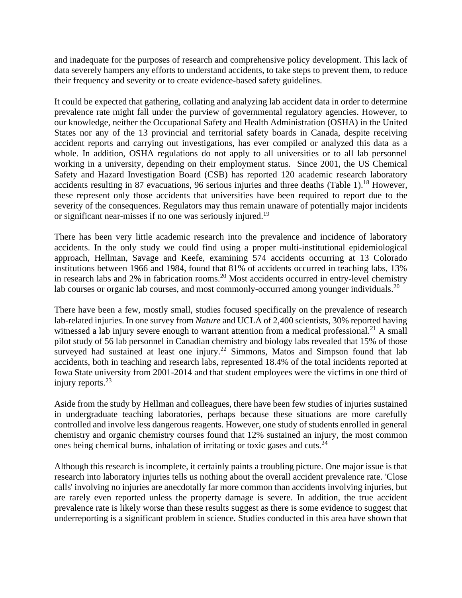and inadequate for the purposes of research and comprehensive policy development. This lack of data severely hampers any efforts to understand accidents, to take steps to prevent them, to reduce their frequency and severity or to create evidence-based safety guidelines.

It could be expected that gathering, collating and analyzing lab accident data in order to determine prevalence rate might fall under the purview of governmental regulatory agencies. However, to our knowledge, neither the Occupational Safety and Health Administration (OSHA) in the United States nor any of the 13 provincial and territorial safety boards in Canada, despite receiving accident reports and carrying out investigations, has ever compiled or analyzed this data as a whole. In addition, OSHA regulations do not apply to all universities or to all lab personnel working in a university, depending on their employment status. Since 2001, the US Chemical Safety and Hazard Investigation Board (CSB) has reported 120 academic research laboratory accidents resulting in 87 evacuations, 96 serious injuries and three deaths (Table 1).<sup>[18](#page-15-10)</sup> However, these represent only those accidents that universities have been required to report due to the severity of the consequences. Regulators may thus remain unaware of potentially major incidents or significant near-misses if no one was seriously injured.<sup>[19](#page-15-11)</sup>

There has been very little academic research into the prevalence and incidence of laboratory accidents. In the only study we could find using a proper multi-institutional epidemiological approach, Hellman, Savage and Keefe, examining 574 accidents occurring at 13 Colorado institutions between 1966 and 1984, found that 81% of accidents occurred in teaching labs, 13% in research labs and  $2\%$  in fabrication rooms.<sup>[20](#page-15-12)</sup> Most accidents occurred in entry-level chemistry lab courses or organic lab courses, and most commonly-occurred among younger individuals.<sup>[20](#page-15-12)</sup>

There have been a few, mostly small, studies focused specifically on the prevalence of research lab-related injuries. In one survey from *Nature* and UCLA of 2,400 scientists, 30% reported having witnessed a lab injury severe enough to warrant attention from a medical professional.<sup>[21](#page-15-13)</sup> A small pilot study of 56 lab personnel in Canadian chemistry and biology labs revealed that 15% of those surveyed had sustained at least one injury.<sup>[22](#page-15-14)</sup> Simmons, Matos and Simpson found that lab accidents, both in teaching and research labs, represented 18.4% of the total incidents reported at Iowa State university from 2001-2014 and that student employees were the victims in one third of injury reports. [23](#page-15-15)

Aside from the study by Hellman and colleagues, there have been few studies of injuries sustained in undergraduate teaching laboratories, perhaps because these situations are more carefully controlled and involve less dangerous reagents. However, one study of students enrolled in general chemistry and organic chemistry courses found that 12% sustained an injury, the most common ones being chemical burns, inhalation of irritating or toxic gases and cuts.<sup>[24](#page-15-16)</sup>

Although this research is incomplete, it certainly paints a troubling picture. One major issue is that research into laboratory injuries tells us nothing about the overall accident prevalence rate. 'Close calls' involving no injuries are anecdotally far more common than accidents involving injuries, but are rarely even reported unless the property damage is severe. In addition, the true accident prevalence rate is likely worse than these results suggest as there is some evidence to suggest that underreporting is a significant problem in science. Studies conducted in this area have shown that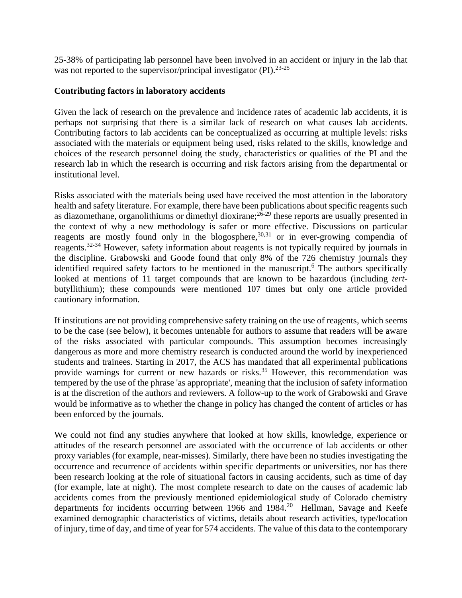25-38% of participating lab personnel have been involved in an accident or injury in the lab that was not reported to the supervisor/principal investigator  $(PI)$ .<sup>[23-25](#page-15-15)</sup>

## **Contributing factors in laboratory accidents**

Given the lack of research on the prevalence and incidence rates of academic lab accidents, it is perhaps not surprising that there is a similar lack of research on what causes lab accidents. Contributing factors to lab accidents can be conceptualized as occurring at multiple levels: risks associated with the materials or equipment being used, risks related to the skills, knowledge and choices of the research personnel doing the study, characteristics or qualities of the PI and the research lab in which the research is occurring and risk factors arising from the departmental or institutional level.

Risks associated with the materials being used have received the most attention in the laboratory health and safety literature. For example, there have been publications about specific reagents such as diazomethane, organolithiums or dimethyl dioxirane;<sup>[26-29](#page-16-0)</sup> these reports are usually presented in the context of why a new methodology is safer or more effective. Discussions on particular reagents are mostly found only in the blogosphere, $30,31$  $30,31$  or in ever-growing compendia of reagents.[32-34](#page-16-3) However, safety information about reagents is not typically required by journals in the discipline. Grabowski and Goode found that only 8% of the 726 chemistry journals they identified required safety factors to be mentioned in the manuscript.<sup>[6](#page-15-1)</sup> The authors specifically looked at mentions of 11 target compounds that are known to be hazardous (including *tert*butyllithium); these compounds were mentioned 107 times but only one article provided cautionary information.

If institutions are not providing comprehensive safety training on the use of reagents, which seems to be the case (see below), it becomes untenable for authors to assume that readers will be aware of the risks associated with particular compounds. This assumption becomes increasingly dangerous as more and more chemistry research is conducted around the world by inexperienced students and trainees. Starting in 2017, the ACS has mandated that all experimental publications provide warnings for current or new hazards or risks.<sup>[35](#page-16-4)</sup> However, this recommendation was tempered by the use of the phrase 'as appropriate', meaning that the inclusion of safety information is at the discretion of the authors and reviewers. A follow-up to the work of Grabowski and Grave would be informative as to whether the change in policy has changed the content of articles or has been enforced by the journals.

We could not find any studies anywhere that looked at how skills, knowledge, experience or attitudes of the research personnel are associated with the occurrence of lab accidents or other proxy variables (for example, near-misses). Similarly, there have been no studies investigating the occurrence and recurrence of accidents within specific departments or universities, nor has there been research looking at the role of situational factors in causing accidents, such as time of day (for example, late at night). The most complete research to date on the causes of academic lab accidents comes from the previously mentioned epidemiological study of Colorado chemistry departments for incidents occurring between 1966 and  $1984<sup>20</sup>$  $1984<sup>20</sup>$  $1984<sup>20</sup>$  Hellman, Savage and Keefe examined demographic characteristics of victims, details about research activities, type/location of injury, time of day, and time of year for 574 accidents. The value of this data to the contemporary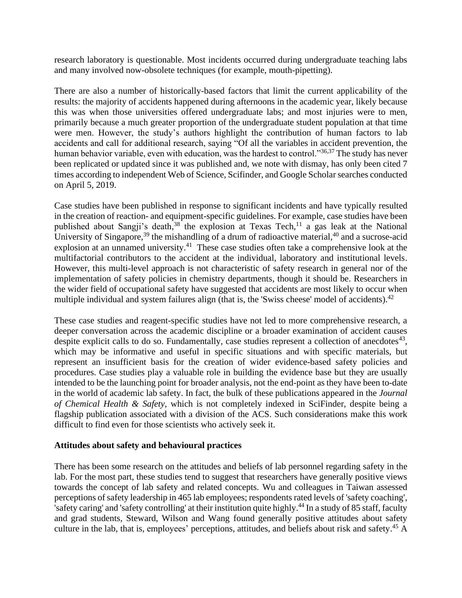research laboratory is questionable. Most incidents occurred during undergraduate teaching labs and many involved now-obsolete techniques (for example, mouth-pipetting).

There are also a number of historically-based factors that limit the current applicability of the results: the majority of accidents happened during afternoons in the academic year, likely because this was when those universities offered undergraduate labs; and most injuries were to men, primarily because a much greater proportion of the undergraduate student population at that time were men. However, the study's authors highlight the contribution of human factors to lab accidents and call for additional research, saying "Of all the variables in accident prevention, the human behavior variable, even with education, was the hardest to control."<sup>[36](#page-16-5)[,37](#page-16-6)</sup> The study has never been replicated or updated since it was published and, we note with dismay, has only been cited 7 times according to independent Web of Science, Scifinder, and Google Scholar searches conducted on April 5, 2019.

Case studies have been published in response to significant incidents and have typically resulted in the creation of reaction- and equipment-specific guidelines. For example, case studies have been published about Sangji's death,  $38$  the explosion at Texas Tech,  $11$  a gas leak at the National University of Singapore,<sup>[39](#page-16-8)</sup> the mishandling of a drum of radioactive material,<sup>[40](#page-16-9)</sup> and a sucrose-acid explosion at an unnamed university.<sup>[41](#page-16-10)</sup> These case studies often take a comprehensive look at the multifactorial contributors to the accident at the individual, laboratory and institutional levels. However, this multi-level approach is not characteristic of safety research in general nor of the implementation of safety policies in chemistry departments, though it should be. Researchers in the wider field of occupational safety have suggested that accidents are most likely to occur when multiple individual and system failures align (that is, the 'Swiss cheese' model of accidents).<sup>[42](#page-16-11)</sup>

These case studies and reagent-specific studies have not led to more comprehensive research, a deeper conversation across the academic discipline or a broader examination of accident causes despite explicit calls to do so. Fundamentally, case studies represent a collection of anecdotes<sup>[43](#page-16-12)</sup>, which may be informative and useful in specific situations and with specific materials, but represent an insufficient basis for the creation of wider evidence-based safety policies and procedures. Case studies play a valuable role in building the evidence base but they are usually intended to be the launching point for broader analysis, not the end-point as they have been to-date in the world of academic lab safety. In fact, the bulk of these publications appeared in the *Journal of Chemical Health & Safety*, which is not completely indexed in SciFinder, despite being a flagship publication associated with a division of the ACS. Such considerations make this work difficult to find even for those scientists who actively seek it.

#### **Attitudes about safety and behavioural practices**

There has been some research on the attitudes and beliefs of lab personnel regarding safety in the lab. For the most part, these studies tend to suggest that researchers have generally positive views towards the concept of lab safety and related concepts. Wu and colleagues in Taiwan assessed perceptions of safety leadership in 465 lab employees; respondents rated levels of 'safety coaching', 'safety caring' and 'safety controlling' at their institution quite highly.<sup>[44](#page-16-13)</sup> In a study of 85 staff, faculty and grad students, Steward, Wilson and Wang found generally positive attitudes about safety culture in the lab, that is, employees' perceptions, attitudes, and beliefs about risk and safety. [45](#page-16-14) A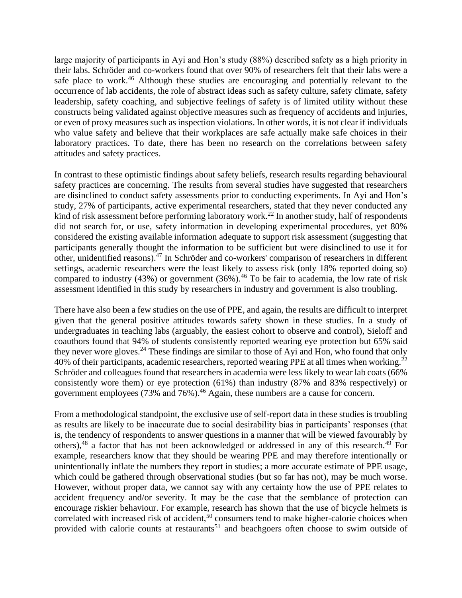large majority of participants in Ayi and Hon's study (88%) described safety as a high priority in their labs. Schröder and co-workers found that over 90% of researchers felt that their labs were a safe place to work.<sup>[46](#page-16-15)</sup> Although these studies are encouraging and potentially relevant to the occurrence of lab accidents, the role of abstract ideas such as safety culture, safety climate, safety leadership, safety coaching, and subjective feelings of safety is of limited utility without these constructs being validated against objective measures such as frequency of accidents and injuries, or even of proxy measures such as inspection violations. In other words, it is not clear if individuals who value safety and believe that their workplaces are safe actually make safe choices in their laboratory practices. To date, there has been no research on the correlations between safety attitudes and safety practices.

In contrast to these optimistic findings about safety beliefs, research results regarding behavioural safety practices are concerning. The results from several studies have suggested that researchers are disinclined to conduct safety assessments prior to conducting experiments. In Ayi and Hon's study, 27% of participants, active experimental researchers, stated that they never conducted any kind of risk assessment before performing laboratory work.<sup>[22](#page-15-14)</sup> In another study, half of respondents did not search for, or use, safety information in developing experimental procedures, yet 80% considered the existing available information adequate to support risk assessment (suggesting that participants generally thought the information to be sufficient but were disinclined to use it for other, unidentified reasons). [47](#page-16-16) In Schröder and co-workers' comparison of researchers in different settings, academic researchers were the least likely to assess risk (only 18% reported doing so) compared to industry  $(43%)$  or government  $(36%)$ .<sup>[46](#page-16-15)</sup> To be fair to academia, the low rate of risk assessment identified in this study by researchers in industry and government is also troubling.

There have also been a few studies on the use of PPE, and again, the results are difficult to interpret given that the general positive attitudes towards safety shown in these studies. In a study of undergraduates in teaching labs (arguably, the easiest cohort to observe and control), Sieloff and coauthors found that 94% of students consistently reported wearing eye protection but 65% said they never wore gloves.<sup>[24](#page-15-16)</sup> These findings are similar to those of Ayi and Hon, who found that only 40% of their participants, academic researchers, reported wearing PPE at all times when working.<sup>[22](#page-15-14)</sup> Schröder and colleagues found that researchers in academia were less likely to wear lab coats (66% consistently wore them) or eye protection (61%) than industry (87% and 83% respectively) or government employees (73% and 76%). [46](#page-16-15) Again, these numbers are a cause for concern.

From a methodological standpoint, the exclusive use of self-report data in these studies is troubling as results are likely to be inaccurate due to social desirability bias in participants' responses (that is, the tendency of respondents to answer questions in a manner that will be viewed favourably by others), $48$  a factor that has not been acknowledged or addressed in any of this research. $49$  For example, researchers know that they should be wearing PPE and may therefore intentionally or unintentionally inflate the numbers they report in studies; a more accurate estimate of PPE usage, which could be gathered through observational studies (but so far has not), may be much worse. However, without proper data, we cannot say with any certainty how the use of PPE relates to accident frequency and/or severity. It may be the case that the semblance of protection can encourage riskier behaviour. For example, research has shown that the use of bicycle helmets is correlated with increased risk of accident,<sup>[50](#page-17-0)</sup> consumers tend to make higher-calorie choices when provided with calorie counts at restaurants<sup>[51](#page-17-1)</sup> and beachgoers often choose to swim outside of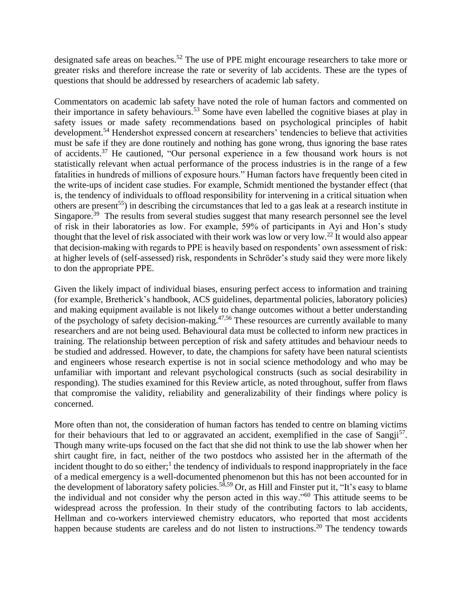designated safe areas on beaches.<sup>[52](#page-17-2)</sup> The use of PPE might encourage researchers to take more or greater risks and therefore increase the rate or severity of lab accidents. These are the types of questions that should be addressed by researchers of academic lab safety.

Commentators on academic lab safety have noted the role of human factors and commented on their importance in safety behaviours.<sup>[53](#page-17-3)</sup> Some have even labelled the cognitive biases at play in safety issues or made safety recommendations based on psychological principles of habit development.<sup>[54](#page-17-4)</sup> Hendershot expressed concern at researchers' tendencies to believe that activities must be safe if they are done routinely and nothing has gone wrong, thus ignoring the base rates of accidents.[37](#page-16-6) He cautioned, "Our personal experience in a few thousand work hours is not statistically relevant when actual performance of the process industries is in the range of a few fatalities in hundreds of millions of exposure hours." Human factors have frequently been cited in the write-ups of incident case studies. For example, Schmidt mentioned the bystander effect (that is, the tendency of individuals to offload responsibility for intervening in a critical situation when others are present<sup>[55](#page-17-5)</sup>) in describing the circumstances that led to a gas leak at a research institute in Singapore.<sup>[39](#page-16-8)</sup> The results from several studies suggest that many research personnel see the level of risk in their laboratories as low. For example, 59% of participants in Ayi and Hon's study thought that the level of risk associated with their work was low or very low.[22](#page-15-14) It would also appear that decision-making with regards to PPE is heavily based on respondents' own assessment of risk: at higher levels of (self-assessed) risk, respondents in Schröder's study said they were more likely to don the appropriate PPE.

Given the likely impact of individual biases, ensuring perfect access to information and training (for example, Bretherick's handbook, ACS guidelines, departmental policies, laboratory policies) and making equipment available is not likely to change outcomes without a better understanding of the psychology of safety decision-making.<sup>[47](#page-16-16)[,56](#page-17-6)</sup> These resources are currently available to many researchers and are not being used. Behavioural data must be collected to inform new practices in training. The relationship between perception of risk and safety attitudes and behaviour needs to be studied and addressed. However, to date, the champions for safety have been natural scientists and engineers whose research expertise is not in social science methodology and who may be unfamiliar with important and relevant psychological constructs (such as social desirability in responding). The studies examined for this Review article, as noted throughout, suffer from flaws that compromise the validity, reliability and generalizability of their findings where policy is concerned.

More often than not, the consideration of human factors has tended to centre on blaming victims for their behaviours that led to or aggravated an accident, exemplified in the case of Sangji<sup>[57](#page-17-7)</sup>. Though many write-ups focused on the fact that she did not think to use the lab shower when her shirt caught fire, in fact, neither of the two postdocs who assisted her in the aftermath of the incident thought to do so either;<sup>[1](#page-14-0)</sup> the tendency of individuals to respond inappropriately in the face of a medical emergency is a well-documented phenomenon but this has not been accounted for in the development of laboratory safety policies.<sup>[58,](#page-17-8)[59](#page-17-9)</sup> Or, as Hill and Finster put it, "It's easy to blame the individual and not consider why the person acted in this way." $60$  This attitude seems to be widespread across the profession. In their study of the contributing factors to lab accidents, Hellman and co-workers interviewed chemistry educators, who reported that most accidents happen because students are careless and do not listen to instructions.<sup>[20](#page-15-12)</sup> The tendency towards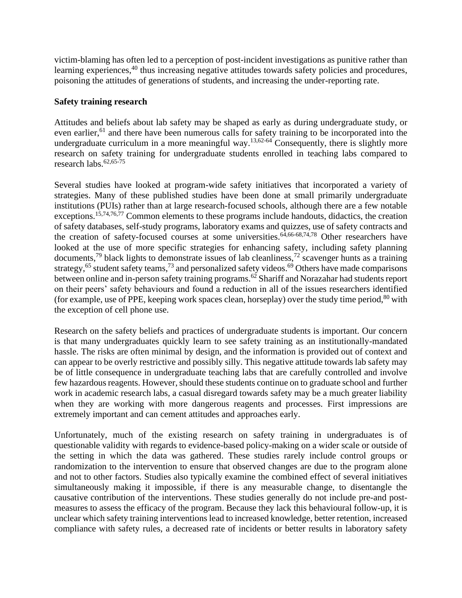victim-blaming has often led to a perception of post-incident investigations as punitive rather than learning experiences,<sup>[40](#page-16-9)</sup> thus increasing negative attitudes towards safety policies and procedures, poisoning the attitudes of generations of students, and increasing the under-reporting rate.

### **Safety training research**

Attitudes and beliefs about lab safety may be shaped as early as during undergraduate study, or even earlier,<sup>[61](#page-17-11)</sup> and there have been numerous calls for safety training to be incorporated into the undergraduate curriculum in a more meaningful way.<sup>[13,](#page-15-5)[62-64](#page-17-12)</sup> Consequently, there is slightly more research on safety training for undergraduate students enrolled in teaching labs compared to research labs. [62,](#page-17-12)[65-75](#page-17-13)

Several studies have looked at program-wide safety initiatives that incorporated a variety of strategies. Many of these published studies have been done at small primarily undergraduate institutions (PUIs) rather than at large research-focused schools, although there are a few notable exceptions.<sup>[15,](#page-15-7)[74,](#page-18-0)[76,](#page-18-1)[77](#page-18-2)</sup> Common elements to these programs include handouts, didactics, the creation of safety databases, self-study programs, laboratory exams and quizzes, use of safety contracts and the creation of safety-focused courses at some universities.<sup>[64,](#page-17-14)[66-68](#page-17-15)[,74](#page-18-0)[,78](#page-18-3)</sup> Other researchers have looked at the use of more specific strategies for enhancing safety, including safety planning documents,<sup>[79](#page-18-4)</sup> black lights to demonstrate issues of lab cleanliness,<sup>[72](#page-18-5)</sup> scavenger hunts as a training strategy,<sup>[65](#page-17-13)</sup> student safety teams,<sup>[73](#page-18-6)</sup> and personalized safety videos.<sup>[69](#page-17-16)</sup> Others have made comparisons between online and in-person safety training programs.<sup>[62](#page-17-12)</sup> Shariff and Norazahar had students report on their peers' safety behaviours and found a reduction in all of the issues researchers identified (for example, use of PPE, keeping work spaces clean, horseplay) over the study time period,  $80$  with the exception of cell phone use.

Research on the safety beliefs and practices of undergraduate students is important. Our concern is that many undergraduates quickly learn to see safety training as an institutionally-mandated hassle. The risks are often minimal by design, and the information is provided out of context and can appear to be overly restrictive and possibly silly. This negative attitude towards lab safety may be of little consequence in undergraduate teaching labs that are carefully controlled and involve few hazardous reagents. However, should these students continue on to graduate school and further work in academic research labs, a casual disregard towards safety may be a much greater liability when they are working with more dangerous reagents and processes. First impressions are extremely important and can cement attitudes and approaches early.

Unfortunately, much of the existing research on safety training in undergraduates is of questionable validity with regards to evidence-based policy-making on a wider scale or outside of the setting in which the data was gathered. These studies rarely include control groups or randomization to the intervention to ensure that observed changes are due to the program alone and not to other factors. Studies also typically examine the combined effect of several initiatives simultaneously making it impossible, if there is any measurable change, to disentangle the causative contribution of the interventions. These studies generally do not include pre-and postmeasures to assess the efficacy of the program. Because they lack this behavioural follow-up, it is unclear which safety training interventions lead to increased knowledge, better retention, increased compliance with safety rules, a decreased rate of incidents or better results in laboratory safety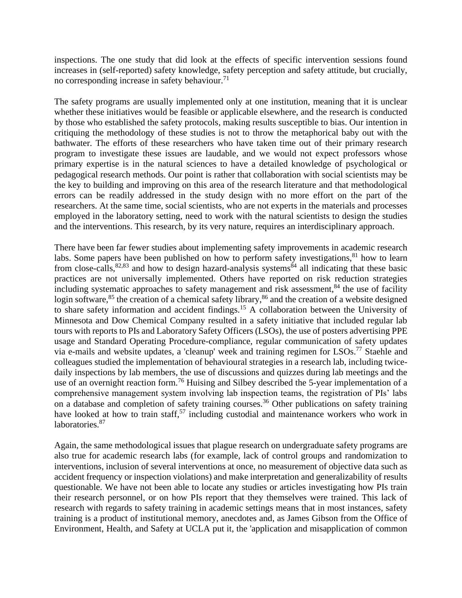inspections. The one study that did look at the effects of specific intervention sessions found increases in (self-reported) safety knowledge, safety perception and safety attitude, but crucially, no corresponding increase in safety behaviour.<sup>[71](#page-17-17)</sup>

The safety programs are usually implemented only at one institution, meaning that it is unclear whether these initiatives would be feasible or applicable elsewhere, and the research is conducted by those who established the safety protocols, making results susceptible to bias. Our intention in critiquing the methodology of these studies is not to throw the metaphorical baby out with the bathwater. The efforts of these researchers who have taken time out of their primary research program to investigate these issues are laudable, and we would not expect professors whose primary expertise is in the natural sciences to have a detailed knowledge of psychological or pedagogical research methods. Our point is rather that collaboration with social scientists may be the key to building and improving on this area of the research literature and that methodological errors can be readily addressed in the study design with no more effort on the part of the researchers. At the same time, social scientists, who are not experts in the materials and processes employed in the laboratory setting, need to work with the natural scientists to design the studies and the interventions. This research, by its very nature, requires an interdisciplinary approach.

There have been far fewer studies about implementing safety improvements in academic research labs. Some papers have been published on how to perform safety investigations, $81$  how to learn from close-calls,  $82,83$  $82,83$  and how to design hazard-analysis systems  $84$  all indicating that these basic practices are not universally implemented. Others have reported on risk reduction strategies including systematic approaches to safety management and risk assessment,<sup>[84](#page-18-11)</sup> the use of facility login software,<sup>[85](#page-18-12)</sup> the creation of a chemical safety library,<sup>[86](#page-18-13)</sup> and the creation of a website designed to share safety information and accident findings.<sup>[15](#page-15-7)</sup> A collaboration between the University of Minnesota and Dow Chemical Company resulted in a safety initiative that included regular lab tours with reports to PIs and Laboratory Safety Officers (LSOs), the use of posters advertising PPE usage and Standard Operating Procedure-compliance, regular communication of safety updates via e-mails and website updates, a 'cleanup' week and training regimen for LSOs.<sup>[77](#page-18-2)</sup> Staehle and colleagues studied the implementation of behavioural strategies in a research lab, including twicedaily inspections by lab members, the use of discussions and quizzes during lab meetings and the use of an overnight reaction form.<sup>[76](#page-18-1)</sup> Huising and Silbey described the 5-year implementation of a comprehensive management system involving lab inspection teams, the registration of PIs' labs on a database and completion of safety training courses.<sup>[36](#page-16-5)</sup> Other publications on safety training have looked at how to train staff,  $57$  including custodial and maintenance workers who work in laboratories.<sup>[87](#page-18-14)</sup>

Again, the same methodological issues that plague research on undergraduate safety programs are also true for academic research labs (for example, lack of control groups and randomization to interventions, inclusion of several interventions at once, no measurement of objective data such as accident frequency or inspection violations) and make interpretation and generalizability of results questionable. We have not been able to locate any studies or articles investigating how PIs train their research personnel, or on how PIs report that they themselves were trained. This lack of research with regards to safety training in academic settings means that in most instances, safety training is a product of institutional memory, anecdotes and, as James Gibson from the Office of Environment, Health, and Safety at UCLA put it, the 'application and misapplication of common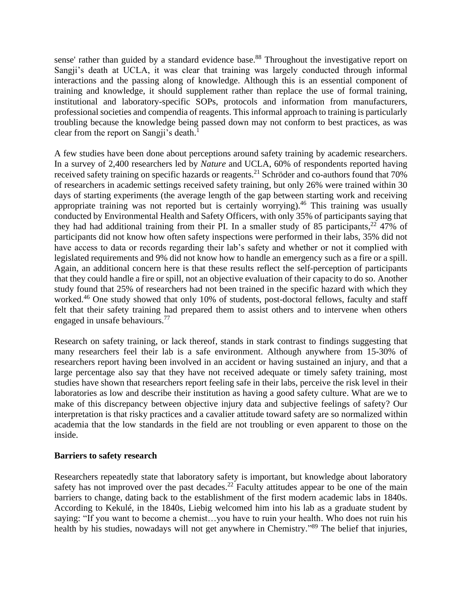sense' rather than guided by a standard evidence base.<sup>[88](#page-18-15)</sup> Throughout the investigative report on Sangji's death at UCLA, it was clear that training was largely conducted through informal interactions and the passing along of knowledge. Although this is an essential component of training and knowledge, it should supplement rather than replace the use of formal training, institutional and laboratory-specific SOPs, protocols and information from manufacturers, professional societies and compendia of reagents. This informal approach to training is particularly troubling because the knowledge being passed down may not conform to best practices, as was clear from the report on Sangji's death.<sup>[1](#page-14-0)</sup>

A few studies have been done about perceptions around safety training by academic researchers. In a survey of 2,400 researchers led by *Nature* and UCLA, 60% of respondents reported having received safety training on specific hazards or reagents.<sup>[21](#page-15-13)</sup> Schröder and co-authors found that 70% of researchers in academic settings received safety training, but only 26% were trained within 30 days of starting experiments (the average length of the gap between starting work and receiving appropriate training was not reported but is certainly worrying).<sup>[46](#page-16-15)</sup> This training was usually conducted by Environmental Health and Safety Officers, with only 35% of participants saying that they had had additional training from their PI. In a smaller study of 85 participants,  $22\frac{47}{%}$  $22\frac{47}{%}$  of participants did not know how often safety inspections were performed in their labs, 35% did not have access to data or records regarding their lab's safety and whether or not it complied with legislated requirements and 9% did not know how to handle an emergency such as a fire or a spill. Again, an additional concern here is that these results reflect the self-perception of participants that they could handle a fire or spill, not an objective evaluation of their capacity to do so. Another study found that 25% of researchers had not been trained in the specific hazard with which they worked.<sup>[46](#page-16-15)</sup> One study showed that only 10% of students, post-doctoral fellows, faculty and staff felt that their safety training had prepared them to assist others and to intervene when others engaged in unsafe behaviours.<sup>[77](#page-18-2)</sup>

Research on safety training, or lack thereof, stands in stark contrast to findings suggesting that many researchers feel their lab is a safe environment. Although anywhere from 15-30% of researchers report having been involved in an accident or having sustained an injury, and that a large percentage also say that they have not received adequate or timely safety training, most studies have shown that researchers report feeling safe in their labs, perceive the risk level in their laboratories as low and describe their institution as having a good safety culture. What are we to make of this discrepancy between objective injury data and subjective feelings of safety? Our interpretation is that risky practices and a cavalier attitude toward safety are so normalized within academia that the low standards in the field are not troubling or even apparent to those on the inside.

#### **Barriers to safety research**

Researchers repeatedly state that laboratory safety is important, but knowledge about laboratory safety has not improved over the past decades.<sup>[22](#page-15-14)</sup> Faculty attitudes appear to be one of the main barriers to change, dating back to the establishment of the first modern academic labs in 1840s. According to Kekulé, in the 1840s, Liebig welcomed him into his lab as a graduate student by saying: "If you want to become a chemist…you have to ruin your health. Who does not ruin his health by his studies, nowadays will not get anywhere in Chemistry."<sup>[89](#page-18-16)</sup> The belief that injuries,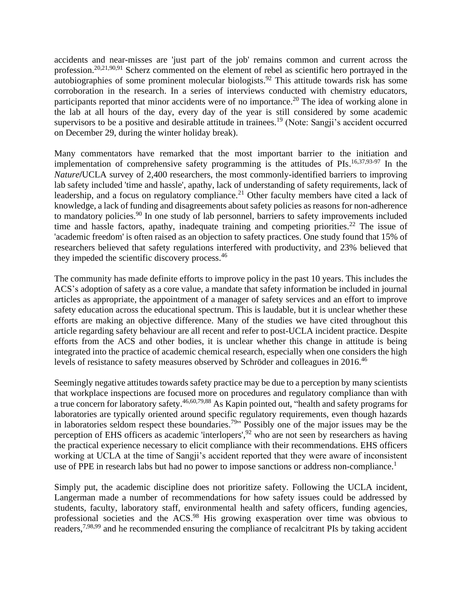accidents and near-misses are 'just part of the job' remains common and current across the profession.<sup>[20](#page-15-12)[,21](#page-15-13)[,90](#page-18-17)[,91](#page-18-18)</sup> Scherz commented on the element of rebel as scientific hero portrayed in the autobiographies of some prominent molecular biologists.<sup>[92](#page-18-19)</sup> This attitude towards risk has some corroboration in the research. In a series of interviews conducted with chemistry educators, participants reported that minor accidents were of no importance.<sup>[20](#page-15-12)</sup> The idea of working alone in the lab at all hours of the day, every day of the year is still considered by some academic supervisors to be a positive and desirable attitude in trainees.<sup>[19](#page-15-11)</sup> (Note: Sangji's accident occurred on December 29, during the winter holiday break).

Many commentators have remarked that the most important barrier to the initiation and implementation of comprehensive safety programming is the attitudes of PIs. [16,](#page-15-8)[37,](#page-16-6)[93-97](#page-18-20) In the *Nature***/**UCLA survey of 2,400 researchers, the most commonly-identified barriers to improving lab safety included 'time and hassle', apathy, lack of understanding of safety requirements, lack of leadership, and a focus on regulatory compliance.<sup>[21](#page-15-13)</sup> Other faculty members have cited a lack of knowledge, a lack of funding and disagreements about safety policies as reasons for non-adherence to mandatory policies.<sup>[90](#page-18-17)</sup> In one study of lab personnel, barriers to safety improvements included time and hassle factors, apathy, inadequate training and competing priorities.<sup>[22](#page-15-14)</sup> The issue of 'academic freedom' is often raised as an objection to safety practices. One study found that 15% of researchers believed that safety regulations interfered with productivity, and 23% believed that they impeded the scientific discovery process.[46](#page-16-15)

The community has made definite efforts to improve policy in the past 10 years. This includes the ACS's adoption of safety as a core value, a mandate that safety information be included in journal articles as appropriate, the appointment of a manager of safety services and an effort to improve safety education across the educational spectrum. This is laudable, but it is unclear whether these efforts are making an objective difference. Many of the studies we have cited throughout this article regarding safety behaviour are all recent and refer to post-UCLA incident practice. Despite efforts from the ACS and other bodies, it is unclear whether this change in attitude is being integrated into the practice of academic chemical research, especially when one considers the high levels of resistance to safety measures observed by Schröder and colleagues in 2016.<sup>[46](#page-16-15)</sup>

Seemingly negative attitudes towards safety practice may be due to a perception by many scientists that workplace inspections are focused more on procedures and regulatory compliance than with a true concern for laboratory safety. [46](#page-16-15)[,60,](#page-17-10)[79](#page-18-4)[,88](#page-18-15) As Kapin pointed out, "health and safety programs for laboratories are typically oriented around specific regulatory requirements, even though hazards in laboratories seldom respect these boundaries.<sup>[79](#page-18-4)</sup> $\cdot$  Possibly one of the major issues may be the perception of EHS officers as academic 'interlopers',[92](#page-18-19) who are not seen by researchers as having the practical experience necessary to elicit compliance with their recommendations. EHS officers working at UCLA at the time of Sangji's accident reported that they were aware of inconsistent use of PPE in research labs but had no power to impose sanctions or address non-compliance.<sup>[1](#page-14-0)</sup>

Simply put, the academic discipline does not prioritize safety. Following the UCLA incident, Langerman made a number of recommendations for how safety issues could be addressed by students, faculty, laboratory staff, environmental health and safety officers, funding agencies, professional societies and the ACS.<sup>[98](#page-19-0)</sup> His growing exasperation over time was obvious to readers,<sup>[7,](#page-15-2)[98,](#page-19-0)[99](#page-19-1)</sup> and he recommended ensuring the compliance of recalcitrant PIs by taking accident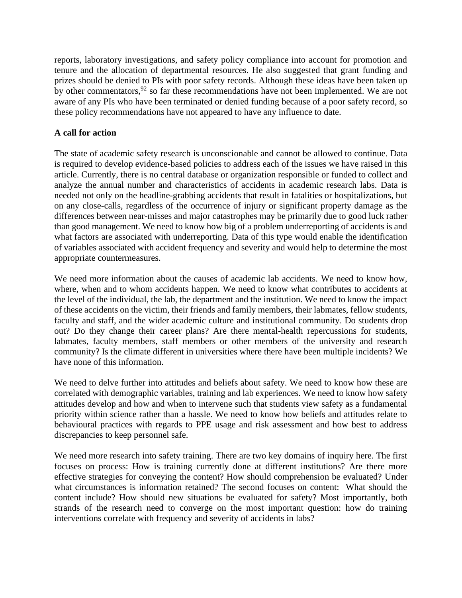reports, laboratory investigations, and safety policy compliance into account for promotion and tenure and the allocation of departmental resources. He also suggested that grant funding and prizes should be denied to PIs with poor safety records. Although these ideas have been taken up by other commentators,  $92$  so far these recommendations have not been implemented. We are not aware of any PIs who have been terminated or denied funding because of a poor safety record, so these policy recommendations have not appeared to have any influence to date.

## **A call for action**

The state of academic safety research is unconscionable and cannot be allowed to continue. Data is required to develop evidence-based policies to address each of the issues we have raised in this article. Currently, there is no central database or organization responsible or funded to collect and analyze the annual number and characteristics of accidents in academic research labs. Data is needed not only on the headline-grabbing accidents that result in fatalities or hospitalizations, but on any close-calls, regardless of the occurrence of injury or significant property damage as the differences between near-misses and major catastrophes may be primarily due to good luck rather than good management. We need to know how big of a problem underreporting of accidents is and what factors are associated with underreporting. Data of this type would enable the identification of variables associated with accident frequency and severity and would help to determine the most appropriate countermeasures.

We need more information about the causes of academic lab accidents. We need to know how, where, when and to whom accidents happen. We need to know what contributes to accidents at the level of the individual, the lab, the department and the institution. We need to know the impact of these accidents on the victim, their friends and family members, their labmates, fellow students, faculty and staff, and the wider academic culture and institutional community. Do students drop out? Do they change their career plans? Are there mental-health repercussions for students, labmates, faculty members, staff members or other members of the university and research community? Is the climate different in universities where there have been multiple incidents? We have none of this information.

We need to delve further into attitudes and beliefs about safety. We need to know how these are correlated with demographic variables, training and lab experiences. We need to know how safety attitudes develop and how and when to intervene such that students view safety as a fundamental priority within science rather than a hassle. We need to know how beliefs and attitudes relate to behavioural practices with regards to PPE usage and risk assessment and how best to address discrepancies to keep personnel safe.

We need more research into safety training. There are two key domains of inquiry here. The first focuses on process: How is training currently done at different institutions? Are there more effective strategies for conveying the content? How should comprehension be evaluated? Under what circumstances is information retained? The second focuses on content: What should the content include? How should new situations be evaluated for safety? Most importantly, both strands of the research need to converge on the most important question: how do training interventions correlate with frequency and severity of accidents in labs?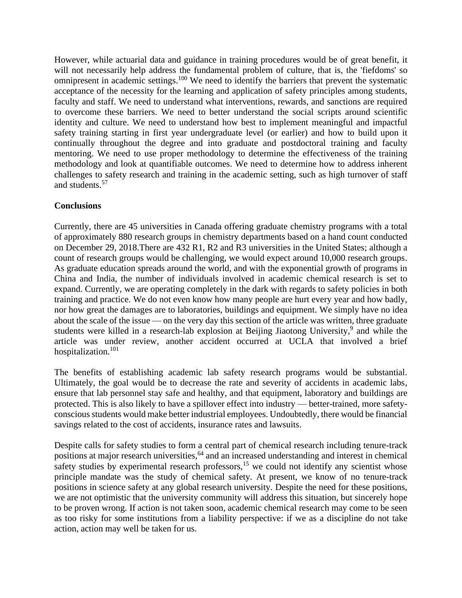However, while actuarial data and guidance in training procedures would be of great benefit, it will not necessarily help address the fundamental problem of culture, that is, the 'fiefdoms' so omnipresent in academic settings.<sup>[100](#page-19-2)</sup> We need to identify the barriers that prevent the systematic acceptance of the necessity for the learning and application of safety principles among students, faculty and staff. We need to understand what interventions, rewards, and sanctions are required to overcome these barriers. We need to better understand the social scripts around scientific identity and culture. We need to understand how best to implement meaningful and impactful safety training starting in first year undergraduate level (or earlier) and how to build upon it continually throughout the degree and into graduate and postdoctoral training and faculty mentoring. We need to use proper methodology to determine the effectiveness of the training methodology and look at quantifiable outcomes. We need to determine how to address inherent challenges to safety research and training in the academic setting, such as high turnover of staff and students. [57](#page-17-7)

# **Conclusions**

Currently, there are 45 universities in Canada offering graduate chemistry programs with a total of approximately 880 research groups in chemistry departments based on a hand count conducted on December 29, 2018.There are 432 R1, R2 and R3 universities in the United States; although a count of research groups would be challenging, we would expect around 10,000 research groups. As graduate education spreads around the world, and with the exponential growth of programs in China and India, the number of individuals involved in academic chemical research is set to expand. Currently, we are operating completely in the dark with regards to safety policies in both training and practice. We do not even know how many people are hurt every year and how badly, nor how great the damages are to laboratories, buildings and equipment. We simply have no idea about the scale of the issue — on the very day this section of the article was written, three graduate students were killed in a research-lab explosion at Beijing Jiaotong University,<sup>[9](#page-15-18)</sup> and while the article was under review, another accident occurred at UCLA that involved a brief hospitalization.<sup>[101](#page-19-3)</sup>

The benefits of establishing academic lab safety research programs would be substantial. Ultimately, the goal would be to decrease the rate and severity of accidents in academic labs, ensure that lab personnel stay safe and healthy, and that equipment, laboratory and buildings are protected. This is also likely to have a spillover effect into industry — better-trained, more safetyconscious students would make better industrial employees. Undoubtedly, there would be financial savings related to the cost of accidents, insurance rates and lawsuits.

Despite calls for safety studies to form a central part of chemical research including tenure-track positions at major research universities,<sup>[64](#page-17-14)</sup> and an increased understanding and interest in chemical safety studies by experimental research professors,<sup>[15](#page-15-7)</sup> we could not identify any scientist whose principle mandate was the study of chemical safety. At present, we know of no tenure-track positions in science safety at any global research university. Despite the need for these positions, we are not optimistic that the university community will address this situation, but sincerely hope to be proven wrong. If action is not taken soon, academic chemical research may come to be seen as too risky for some institutions from a liability perspective: if we as a discipline do not take action, action may well be taken for us.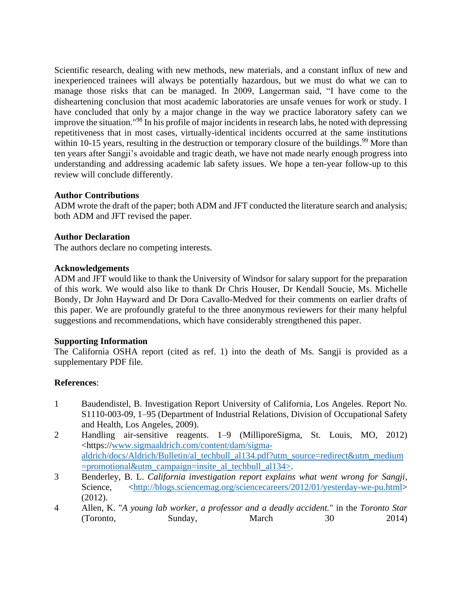Scientific research, dealing with new methods, new materials, and a constant influx of new and inexperienced trainees will always be potentially hazardous, but we must do what we can to manage those risks that can be managed. In 2009, Langerman said, "I have come to the disheartening conclusion that most academic laboratories are unsafe venues for work or study. I have concluded that only by a major change in the way we practice laboratory safety can we improve the situation." [98](#page-19-0) In his profile of major incidents in research labs, he noted with depressing repetitiveness that in most cases, virtually-identical incidents occurred at the same institutions within 10-15 years, resulting in the destruction or temporary closure of the buildings.<sup>[99](#page-19-1)</sup> More than ten years after Sangji's avoidable and tragic death, we have not made nearly enough progress into understanding and addressing academic lab safety issues. We hope a ten-year follow-up to this review will conclude differently.

## **Author Contributions**

ADM wrote the draft of the paper; both ADM and JFT conducted the literature search and analysis; both ADM and JFT revised the paper.

## **Author Declaration**

The authors declare no competing interests.

#### **Acknowledgements**

ADM and JFT would like to thank the University of Windsor for salary support for the preparation of this work. We would also like to thank Dr Chris Houser, Dr Kendall Soucie, Ms. Michelle Bondy, Dr John Hayward and Dr Dora Cavallo-Medved for their comments on earlier drafts of this paper. We are profoundly grateful to the three anonymous reviewers for their many helpful suggestions and recommendations, which have considerably strengthened this paper.

#### **Supporting Information**

The California OSHA report (cited as ref. 1) into the death of Ms. Sangji is provided as a supplementary PDF file.

#### **References**:

- <span id="page-14-0"></span>1 Baudendistel, B. Investigation Report University of California, Los Angeles. Report No. S1110-003-09, 1–95 (Department of Industrial Relations, Division of Occupational Safety and Health, Los Angeles, 2009).
- <span id="page-14-1"></span>2 Handling air-sensitive reagents. 1–9 (MilliporeSigma, St. Louis, MO, 2012) <https:/[/www.sigmaaldrich.com/content/dam/sigma](http://www.sigmaaldrich.com/content/dam/sigma-aldrich/docs/Aldrich/Bulletin/al_techbull_al134.pdf?utm_source=redirect&utm_medium=promotional&utm_campaign=insite_al_techbull_al134%3e)[aldrich/docs/Aldrich/Bulletin/al\\_techbull\\_al134.pdf?utm\\_source=redirect&utm\\_medium](http://www.sigmaaldrich.com/content/dam/sigma-aldrich/docs/Aldrich/Bulletin/al_techbull_al134.pdf?utm_source=redirect&utm_medium=promotional&utm_campaign=insite_al_techbull_al134%3e) [=promotional&utm\\_campaign=insite\\_al\\_techbull\\_al134>.](http://www.sigmaaldrich.com/content/dam/sigma-aldrich/docs/Aldrich/Bulletin/al_techbull_al134.pdf?utm_source=redirect&utm_medium=promotional&utm_campaign=insite_al_techbull_al134%3e)
- <span id="page-14-2"></span>3 Benderley, B. L. *California investigation report explains what went wrong for Sangji*, Science, [<http://blogs.sciencemag.org/sciencecareers/2012/01/yesterday-we-pu.html>](http://blogs.sciencemag.org/sciencecareers/2012/01/yesterday-we-pu.html) (2012).
- <span id="page-14-3"></span>4 Allen, K. "*A young lab worker, a professor and a deadly accident.*" in the *Toronto Star* (Toronto, Sunday, March 30 2014)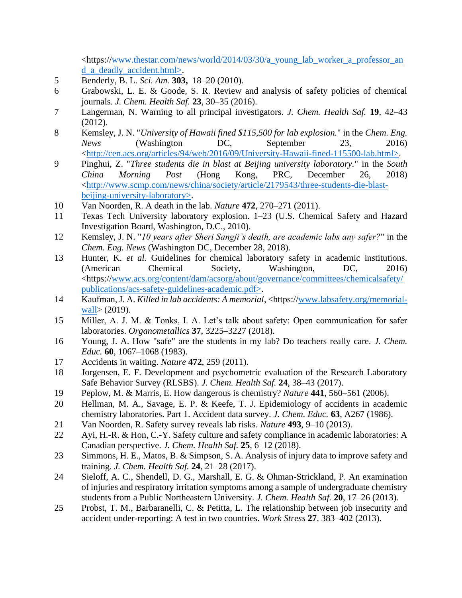$\lt$ https:/[/www.thestar.com/news/world/2014/03/30/a\\_young\\_lab\\_worker\\_a\\_professor\\_an](http://www.thestar.com/news/world/2014/03/30/a_young_lab_worker_a_professor_and_a_deadly_accident.html%3e) [d\\_a\\_deadly\\_accident.html>.](http://www.thestar.com/news/world/2014/03/30/a_young_lab_worker_a_professor_and_a_deadly_accident.html%3e)

- <span id="page-15-0"></span>5 Benderly, B. L. *Sci. Am.* **303,** 18–20 (2010).
- <span id="page-15-1"></span>6 Grabowski, L. E. & Goode, S. R. Review and analysis of safety policies of chemical journals. *J. Chem. Health Saf.* **23**, 30–35 (2016).
- <span id="page-15-2"></span>7 Langerman, N. Warning to all principal investigators. *J. Chem. Health Saf.* **19**, 42–43 (2012).
- <span id="page-15-3"></span>8 Kemsley, J. N. "*University of Hawaii fined \$115,500 for lab explosion.*" in the *Chem. Eng. News* (Washington DC, September 23, 2016) [<http://cen.acs.org/articles/94/web/2016/09/University-Hawaii-fined-115500-lab.html>.](http://cen.acs.org/articles/94/web/2016/09/University-Hawaii-fined-115500-lab.html%3e)
- <span id="page-15-18"></span>9 Pinghui, Z. "*Three students die in blast at Beijing university laboratory.*" in the *South China Morning Post* (Hong Kong, PRC, December 26, 2018) [<http://www.scmp.com/news/china/society/article/2179543/three-students-die-blast](http://www.scmp.com/news/china/society/article/2179543/three-students-die-blast-beijing-university-laboratory%3e)[beijing-university-laboratory>.](http://www.scmp.com/news/china/society/article/2179543/three-students-die-blast-beijing-university-laboratory%3e)
- 10 Van Noorden, R. A death in the lab. *Nature* **472**, 270–271 (2011).
- <span id="page-15-17"></span>11 Texas Tech University laboratory explosion. 1–23 (U.S. Chemical Safety and Hazard Investigation Board, Washington, D.C., 2010).
- <span id="page-15-4"></span>12 Kemsley, J. N. "*10 years after Sheri Sangji's death, are academic labs any safer?*" in the *Chem. Eng. News* (Washington DC, December 28, 2018).
- <span id="page-15-5"></span>13 Hunter, K. *et al.* Guidelines for chemical laboratory safety in academic institutions. (American Chemical Society, Washington, DC, 2016) <https:/[/www.acs.org/content/dam/acsorg/about/governance/committees/chemicalsafety/](http://www.acs.org/content/dam/acsorg/about/governance/committees/chemicalsafety/publications/acs-safety-guidelines-academic.pdf%3e) [publications/acs-safety-guidelines-academic.pdf>.](http://www.acs.org/content/dam/acsorg/about/governance/committees/chemicalsafety/publications/acs-safety-guidelines-academic.pdf%3e)
- <span id="page-15-6"></span>14 Kaufman, J. A. *Killed in lab accidents: A memorial*, <https:/[/www.labsafety.org/memorial](http://www.labsafety.org/memorial-wall)[wall>](http://www.labsafety.org/memorial-wall) (2019).
- <span id="page-15-7"></span>15 Miller, A. J. M. & Tonks, I. A. Let's talk about safety: Open communication for safer laboratories. *Organometallics* **37**, 3225–3227 (2018).
- <span id="page-15-8"></span>16 Young, J. A. How "safe" are the students in my lab? Do teachers really care. *J. Chem. Educ.* **60**, 1067–1068 (1983).
- <span id="page-15-9"></span>17 Accidents in waiting. *Nature* **472**, 259 (2011).
- <span id="page-15-10"></span>18 Jorgensen, E. F. Development and psychometric evaluation of the Research Laboratory Safe Behavior Survey (RLSBS). *J. Chem. Health Saf.* **24**, 38–43 (2017).
- <span id="page-15-11"></span>19 Peplow, M. & Marris, E. How dangerous is chemistry? *Nature* **441**, 560–561 (2006).
- <span id="page-15-12"></span>20 Hellman, M. A., Savage, E. P. & Keefe, T. J. Epidemiology of accidents in academic chemistry laboratories. Part 1. Accident data survey. *J. Chem. Educ.* **63**, A267 (1986).
- <span id="page-15-13"></span>21 Van Noorden, R. Safety survey reveals lab risks. *Nature* **493**, 9–10 (2013).
- <span id="page-15-14"></span>22 Ayi, H.-R. & Hon, C.-Y. Safety culture and safety compliance in academic laboratories: A Canadian perspective. *J. Chem. Health Saf.* **25**, 6–12 (2018).
- <span id="page-15-15"></span>23 Simmons, H. E., Matos, B. & Simpson, S. A. Analysis of injury data to improve safety and training. *J. Chem. Health Saf.* **24**, 21–28 (2017).
- <span id="page-15-16"></span>24 Sieloff, A. C., Shendell, D. G., Marshall, E. G. & Ohman-Strickland, P. An examination of injuries and respiratory irritation symptoms among a sample of undergraduate chemistry students from a Public Northeastern University. *J. Chem. Health Saf.* **20**, 17–26 (2013).
- 25 Probst, T. M., Barbaranelli, C. & Petitta, L. The relationship between job insecurity and accident under-reporting: A test in two countries. *Work Stress* **27**, 383–402 (2013).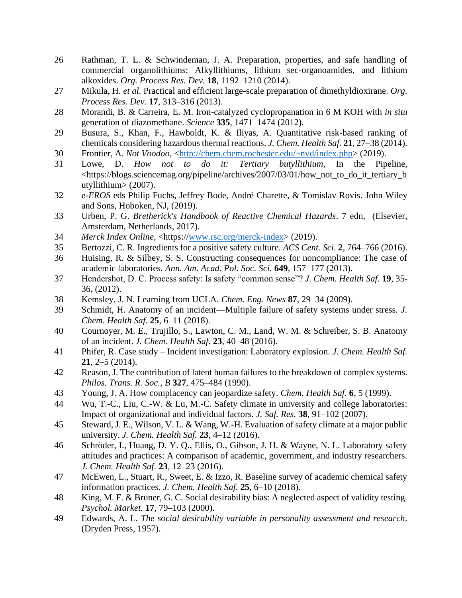- <span id="page-16-0"></span>26 Rathman, T. L. & Schwindeman, J. A. Preparation, properties, and safe handling of commercial organolithiums: Alkyllithiums, lithium sec-organoamides, and lithium alkoxides. *Org. Process Res. Dev.* **18**, 1192–1210 (2014).
- 27 Mikula, H. *et al.* Practical and efficient large-scale preparation of dimethyldioxirane. *Org. Process Res. Dev.* **17**, 313–316 (2013).
- 28 Morandi, B. & Carreira, E. M. Iron-catalyzed cyclopropanation in 6 M KOH with *in situ* generation of diazomethane. *Science* **335**, 1471–1474 (2012).
- 29 Busura, S., Khan, F., Hawboldt, K. & Iliyas, A. Quantitative risk-based ranking of chemicals considering hazardous thermal reactions. *J. Chem. Health Saf.* **21**, 27–38 (2014).
- <span id="page-16-1"></span>30 Frontier, A. *Not Voodoo*, [<http://chem.chem.rochester.edu/~nvd/index.php>](http://chem.chem.rochester.edu/~nvd/index.php) (2019).
- <span id="page-16-2"></span>31 Lowe, D. *How not to do it: Tertiary butyllithium*, In the Pipeline, <https://blogs.sciencemag.org/pipeline/archives/2007/03/01/how\_not\_to\_do\_it\_tertiary\_b utyllithium> (2007).
- <span id="page-16-3"></span>32 *e-EROS* eds Philip Fuchs, Jeffrey Bode, André Charette, & Tomislav Rovis. John Wiley and Sons, Hoboken, NJ, (2019).
- 33 Urben, P. G. *Bretherick's Handbook of Reactive Chemical Hazards*. 7 edn, (Elsevier, Amsterdam, Netherlands, 2017).
- 34 *Merck Index Online*, <https:/[/www.rsc.org/merck-index>](http://www.rsc.org/merck-index) (2019).
- <span id="page-16-4"></span>35 Bertozzi, C. R. Ingredients for a positive safety culture. *ACS Cent. Sci.* **2**, 764–766 (2016).
- <span id="page-16-5"></span>36 Huising, R. & Silbey, S. S. Constructing consequences for noncompliance: The case of academic laboratories. *Ann. Am. Acad. Pol. Soc. Sci.* **649**, 157–177 (2013).
- <span id="page-16-6"></span>37 Hendershot, D. C. Process safety: Is safety "common sense"? *J. Chem. Health Saf.* **19**, 35- 36, (2012).
- <span id="page-16-7"></span>38 Kemsley, J. N. Learning from UCLA. *Chem. Eng. News* **87**, 29–34 (2009).
- <span id="page-16-8"></span>39 Schmidt, H. Anatomy of an incident—Multiple failure of safety systems under stress. *J. Chem. Health Saf.* **25**, 6–11 (2018).
- <span id="page-16-9"></span>40 Cournoyer, M. E., Trujillo, S., Lawton, C. M., Land, W. M. & Schreiber, S. B. Anatomy of an incident. *J. Chem. Health Saf.* **23**, 40–48 (2016).
- <span id="page-16-10"></span>41 Phifer, R. Case study – Incident investigation: Laboratory explosion. *J. Chem. Health Saf.* **21**, 2–5 (2014).
- <span id="page-16-11"></span>42 Reason, J. The contribution of latent human failures to the breakdown of complex systems. *Philos. Trans. R. Soc., B* **327**, 475–484 (1990).
- <span id="page-16-12"></span>43 Young, J. A. How complacency can jeopardize safety. *Chem. Health Saf.* **6**, 5 (1999).
- <span id="page-16-13"></span>44 Wu, T.-C., Liu, C.-W. & Lu, M.-C. Safety climate in university and college laboratories: Impact of organizational and individual factors. *J. Saf. Res.* **38**, 91–102 (2007).
- <span id="page-16-14"></span>45 Steward, J. E., Wilson, V. L. & Wang, W.-H. Evaluation of safety climate at a major public university. *J. Chem. Health Saf.* **23**, 4–12 (2016).
- <span id="page-16-15"></span>46 Schröder, I., Huang, D. Y. Q., Ellis, O., Gibson, J. H. & Wayne, N. L. Laboratory safety attitudes and practices: A comparison of academic, government, and industry researchers. *J. Chem. Health Saf.* **23**, 12–23 (2016).
- <span id="page-16-16"></span>47 McEwen, L., Stuart, R., Sweet, E. & Izzo, R. Baseline survey of academic chemical safety information practices. *J. Chem. Health Saf.* **25**, 6–10 (2018).
- <span id="page-16-17"></span>48 King, M. F. & Bruner, G. C. Social desirability bias: A neglected aspect of validity testing. *Psychol. Market.* **17**, 79–103 (2000).
- <span id="page-16-18"></span>49 Edwards, A. L. *The social desirability variable in personality assessment and research*. (Dryden Press, 1957).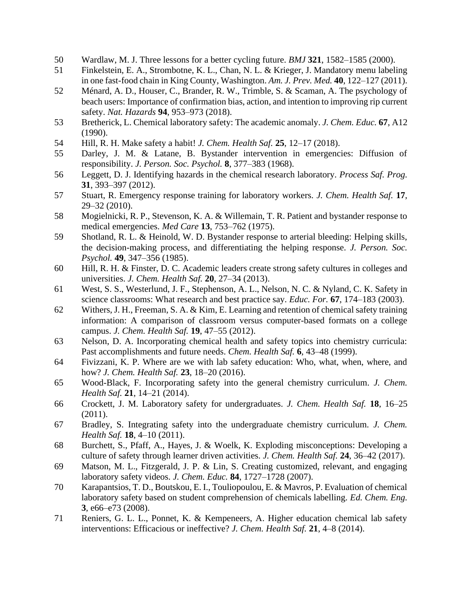- <span id="page-17-0"></span>50 Wardlaw, M. J. Three lessons for a better cycling future. *BMJ* **321**, 1582–1585 (2000).
- <span id="page-17-1"></span>51 Finkelstein, E. A., Strombotne, K. L., Chan, N. L. & Krieger, J. Mandatory menu labeling in one fast-food chain in King County, Washington. *Am. J. Prev. Med.* **40**, 122–127 (2011).
- <span id="page-17-2"></span>52 Ménard, A. D., Houser, C., Brander, R. W., Trimble, S. & Scaman, A. The psychology of beach users: Importance of confirmation bias, action, and intention to improving rip current safety. *Nat. Hazards* **94**, 953–973 (2018).
- <span id="page-17-3"></span>53 Bretherick, L. Chemical laboratory safety: The academic anomaly. *J. Chem. Educ.* **67**, A12 (1990).
- <span id="page-17-4"></span>54 Hill, R. H. Make safety a habit! *J. Chem. Health Saf.* **25**, 12–17 (2018).
- <span id="page-17-5"></span>55 Darley, J. M. & Latane, B. Bystander intervention in emergencies: Diffusion of responsibility. *J. Person. Soc. Psychol.* **8**, 377–383 (1968).
- <span id="page-17-6"></span>56 Leggett, D. J. Identifying hazards in the chemical research laboratory. *Process Saf. Prog.* **31**, 393–397 (2012).
- <span id="page-17-7"></span>57 Stuart, R. Emergency response training for laboratory workers. *J. Chem. Health Saf.* **17**, 29–32 (2010).
- <span id="page-17-8"></span>58 Mogielnicki, R. P., Stevenson, K. A. & Willemain, T. R. Patient and bystander response to medical emergencies. *Med Care* **13**, 753–762 (1975).
- <span id="page-17-9"></span>59 Shotland, R. L. & Heinold, W. D. Bystander response to arterial bleeding: Helping skills, the decision-making process, and differentiating the helping response. *J. Person. Soc. Psychol.* **49**, 347–356 (1985).
- <span id="page-17-10"></span>60 Hill, R. H. & Finster, D. C. Academic leaders create strong safety cultures in colleges and universities. *J. Chem. Health Saf.* **20**, 27–34 (2013).
- <span id="page-17-11"></span>61 West, S. S., Westerlund, J. F., Stephenson, A. L., Nelson, N. C. & Nyland, C. K. Safety in science classrooms: What research and best practice say. *Educ. For.* **67**, 174–183 (2003).
- <span id="page-17-12"></span>62 Withers, J. H., Freeman, S. A. & Kim, E. Learning and retention of chemical safety training information: A comparison of classroom versus computer-based formats on a college campus. *J. Chem. Health Saf.* **19**, 47–55 (2012).
- 63 Nelson, D. A. Incorporating chemical health and safety topics into chemistry curricula: Past accomplishments and future needs. *Chem. Health Saf.* **6**, 43–48 (1999).
- <span id="page-17-14"></span>64 Fivizzani, K. P. Where are we with lab safety education: Who, what, when, where, and how? *J. Chem. Health Saf.* **23**, 18–20 (2016).
- <span id="page-17-13"></span>65 Wood-Black, F. Incorporating safety into the general chemistry curriculum. *J. Chem. Health Saf.* **21**, 14–21 (2014).
- <span id="page-17-15"></span>66 Crockett, J. M. Laboratory safety for undergraduates. *J. Chem. Health Saf.* **18**, 16–25 (2011).
- 67 Bradley, S. Integrating safety into the undergraduate chemistry curriculum. *J. Chem. Health Saf.* **18**, 4–10 (2011).
- 68 Burchett, S., Pfaff, A., Hayes, J. & Woelk, K. Exploding misconceptions: Developing a culture of safety through learner driven activities. *J. Chem. Health Saf.* **24**, 36–42 (2017).
- <span id="page-17-16"></span>69 Matson, M. L., Fitzgerald, J. P. & Lin, S. Creating customized, relevant, and engaging laboratory safety videos. *J. Chem. Educ.* **84**, 1727–1728 (2007).
- 70 Karapantsios, T. D., Boutskou, E. I., Touliopoulou, E. & Mavros, P. Evaluation of chemical laboratory safety based on student comprehension of chemicals labelling. *Ed. Chem. Eng.* **3**, e66–e73 (2008).
- <span id="page-17-17"></span>71 Reniers, G. L. L., Ponnet, K. & Kempeneers, A. Higher education chemical lab safety interventions: Efficacious or ineffective? *J. Chem. Health Saf.* **21**, 4–8 (2014).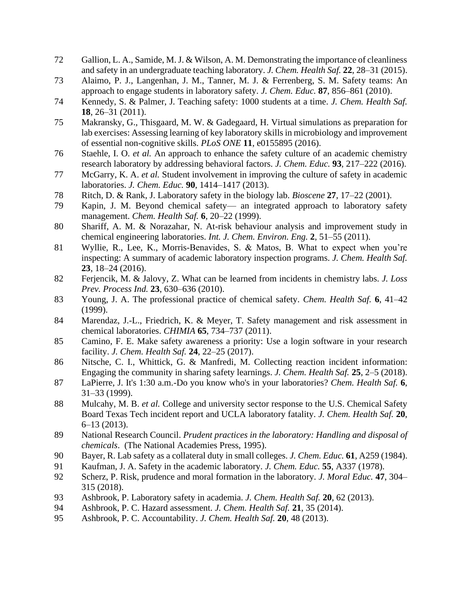- <span id="page-18-5"></span>72 Gallion, L. A., Samide, M. J. & Wilson, A. M. Demonstrating the importance of cleanliness and safety in an undergraduate teaching laboratory. *J. Chem. Health Saf.* **22**, 28–31 (2015).
- <span id="page-18-6"></span>73 Alaimo, P. J., Langenhan, J. M., Tanner, M. J. & Ferrenberg, S. M. Safety teams: An approach to engage students in laboratory safety. *J. Chem. Educ.* **87**, 856–861 (2010).
- <span id="page-18-0"></span>74 Kennedy, S. & Palmer, J. Teaching safety: 1000 students at a time. *J. Chem. Health Saf.* **18**, 26–31 (2011).
- 75 Makransky, G., Thisgaard, M. W. & Gadegaard, H. Virtual simulations as preparation for lab exercises: Assessing learning of key laboratory skills in microbiology and improvement of essential non-cognitive skills. *PLoS ONE* **11**, e0155895 (2016).
- <span id="page-18-1"></span>76 Staehle, I. O. *et al.* An approach to enhance the safety culture of an academic chemistry research laboratory by addressing behavioral factors. *J. Chem. Educ.* **93**, 217–222 (2016).
- <span id="page-18-2"></span>77 McGarry, K. A. *et al.* Student involvement in improving the culture of safety in academic laboratories. *J. Chem. Educ.* **90**, 1414–1417 (2013).
- <span id="page-18-3"></span>78 Ritch, D. & Rank, J. Laboratory safety in the biology lab. *Bioscene* **27**, 17–22 (2001).
- <span id="page-18-4"></span>79 Kapin, J. M. Beyond chemical safety— an integrated approach to laboratory safety management. *Chem. Health Saf.* **6**, 20–22 (1999).
- <span id="page-18-7"></span>80 Shariff, A. M. & Norazahar, N. At-risk behaviour analysis and improvement study in chemical engineering laboratories. *Int. J. Chem. Environ. Eng.* **2**, 51–55 (2011).
- <span id="page-18-8"></span>81 Wyllie, R., Lee, K., Morris-Benavides, S. & Matos, B. What to expect when you're inspecting: A summary of academic laboratory inspection programs. *J. Chem. Health Saf.* **23**, 18–24 (2016).
- <span id="page-18-9"></span>82 Ferjencik, M. & Jalovy, Z. What can be learned from incidents in chemistry labs. *J. Loss Prev. Process Ind.* **23**, 630–636 (2010).
- <span id="page-18-10"></span>83 Young, J. A. The professional practice of chemical safety. *Chem. Health Saf.* **6**, 41–42 (1999).
- <span id="page-18-11"></span>84 Marendaz, J.-L., Friedrich, K. & Meyer, T. Safety management and risk assessment in chemical laboratories. *CHIMIA* **65**, 734–737 (2011).
- <span id="page-18-12"></span>85 Camino, F. E. Make safety awareness a priority: Use a login software in your research facility. *J. Chem. Health Saf.* **24**, 22–25 (2017).
- <span id="page-18-13"></span>86 Nitsche, C. I., Whittick, G. & Manfredi, M. Collecting reaction incident information: Engaging the community in sharing safety learnings. *J. Chem. Health Saf.* **25**, 2–5 (2018).
- <span id="page-18-14"></span>87 LaPierre, J. It's 1:30 a.m.-Do you know who's in your laboratories? *Chem. Health Saf.* **6**, 31–33 (1999).
- <span id="page-18-15"></span>88 Mulcahy, M. B. *et al.* College and university sector response to the U.S. Chemical Safety Board Texas Tech incident report and UCLA laboratory fatality. *J. Chem. Health Saf.* **20**, 6–13 (2013).
- <span id="page-18-16"></span>89 National Research Council. *Prudent practices in the laboratory: Handling and disposal of chemicals*. (The National Academies Press, 1995).
- <span id="page-18-17"></span>90 Bayer, R. Lab safety as a collateral duty in small colleges. *J. Chem. Educ.* **61**, A259 (1984).
- <span id="page-18-18"></span>91 Kaufman, J. A. Safety in the academic laboratory. *J. Chem. Educ.* **55**, A337 (1978).
- <span id="page-18-19"></span>92 Scherz, P. Risk, prudence and moral formation in the laboratory. *J. Moral Educ.* **47**, 304– 315 (2018).
- <span id="page-18-20"></span>93 Ashbrook, P. Laboratory safety in academia. *J. Chem. Health Saf.* **20**, 62 (2013).
- 94 Ashbrook, P. C. Hazard assessment. *J. Chem. Health Saf.* **21**, 35 (2014).
- 95 Ashbrook, P. C. Accountability. *J. Chem. Health Saf.* **20**, 48 (2013).